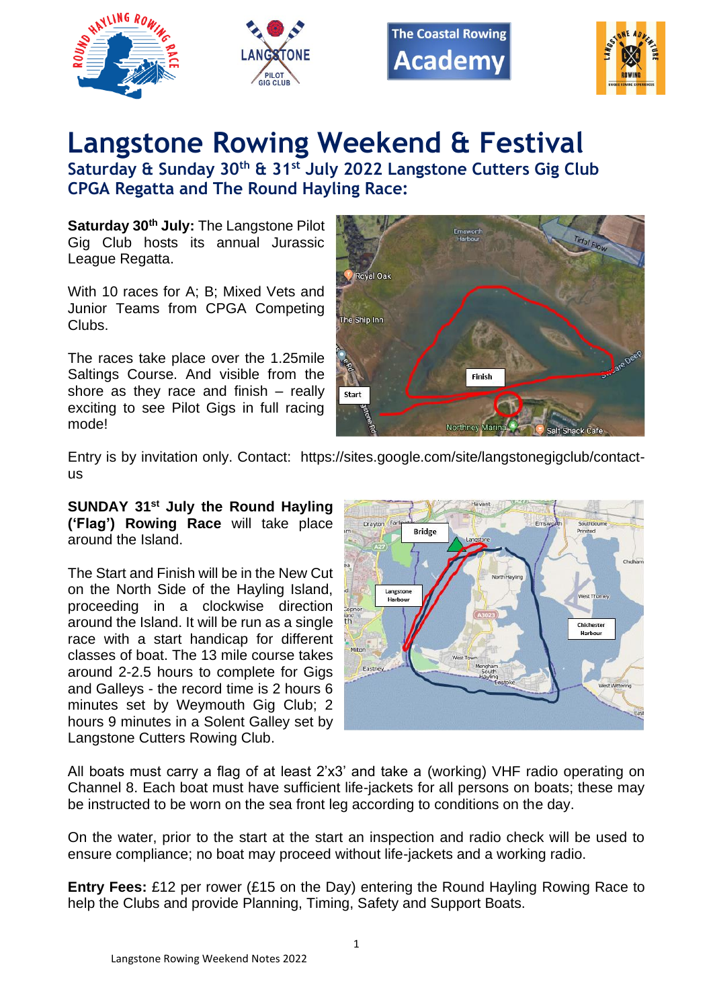







## **Langstone Rowing Weekend & Festival**

**Saturday & Sunday 30th & 31st July 2022 Langstone Cutters Gig Club CPGA Regatta and The Round Hayling Race:**

**Saturday 30th July:** The Langstone Pilot Gig Club hosts its annual Jurassic League Regatta.

With 10 races for A; B; Mixed Vets and Junior Teams from CPGA Competing Clubs.

The races take place over the 1.25mile Saltings Course. And visible from the shore as they race and finish – really exciting to see Pilot Gigs in full racing mode!



Entry is by invitation only. Contact: https://sites.google.com/site/langstonegigclub/contactus

**SUNDAY 31st July the Round Hayling ('Flag') Rowing Race** will take place around the Island.

The Start and Finish will be in the New Cut on the North Side of the Hayling Island, proceeding in a clockwise direction around the Island. It will be run as a single race with a start handicap for different classes of boat. The 13 mile course takes around 2-2.5 hours to complete for Gigs and Galleys - the record time is 2 hours 6 minutes set by Weymouth Gig Club; 2 hours 9 minutes in a Solent Galley set by Langstone Cutters Rowing Club.



All boats must carry a flag of at least 2'x3' and take a (working) VHF radio operating on Channel 8. Each boat must have sufficient life-jackets for all persons on boats; these may be instructed to be worn on the sea front leg according to conditions on the day.

On the water, prior to the start at the start an inspection and radio check will be used to ensure compliance; no boat may proceed without life-jackets and a working radio.

**Entry Fees:** £12 per rower (£15 on the Day) entering the Round Hayling Rowing Race to help the Clubs and provide Planning, Timing, Safety and Support Boats.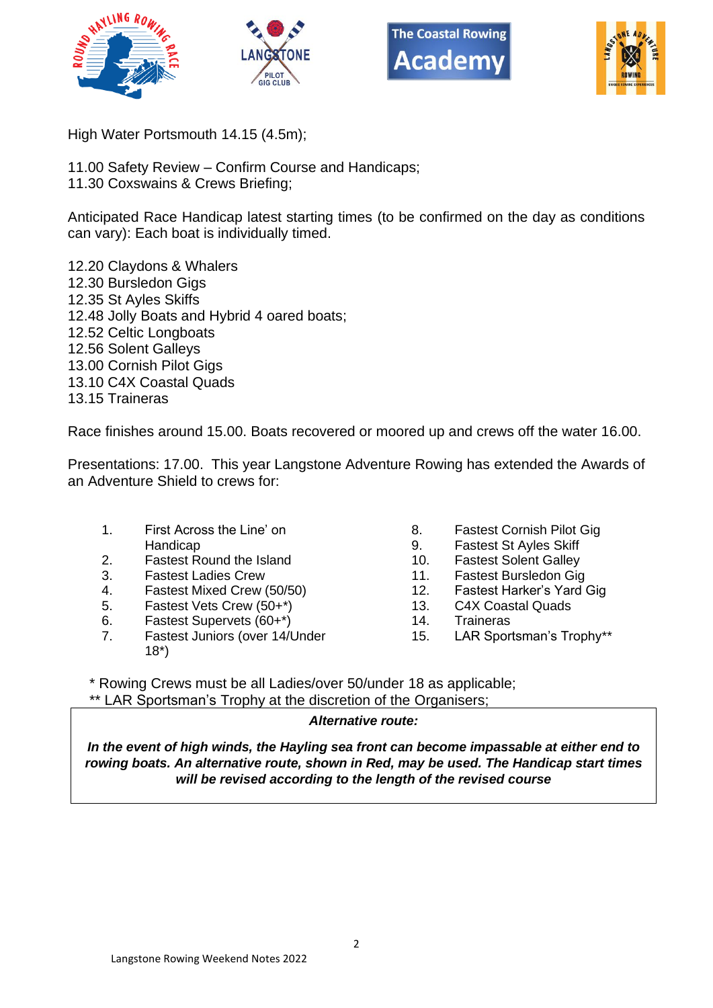







High Water Portsmouth 14.15 (4.5m);

- 11.00 Safety Review Confirm Course and Handicaps;
- 11.30 Coxswains & Crews Briefing;

Anticipated Race Handicap latest starting times (to be confirmed on the day as conditions can vary): Each boat is individually timed.

12.20 Claydons & Whalers 12.30 Bursledon Gigs 12.35 St Ayles Skiffs 12.48 Jolly Boats and Hybrid 4 oared boats; 12.52 Celtic Longboats 12.56 Solent Galleys 13.00 Cornish Pilot Gigs 13.10 C4X Coastal Quads 13.15 Traineras

Race finishes around 15.00. Boats recovered or moored up and crews off the water 16.00.

Presentations: 17.00. This year Langstone Adventure Rowing has extended the Awards of an Adventure Shield to crews for:

- 1. First Across the Line' on **Handicap**
- 2. Fastest Round the Island
- 3. Fastest Ladies Crew
- 4. Fastest Mixed Crew (50/50)
- 5. Fastest Vets Crew (50+\*)
- 6. Fastest Supervets (60+\*)
- 7. Fastest Juniors (over 14/Under 18\*)
- 8. Fastest Cornish Pilot Gig
- 9. Fastest St Ayles Skiff
- 10. Fastest Solent Galley
- 11. Fastest Bursledon Gig
- 12. Fastest Harker's Yard Gig
- 13. C4X Coastal Quads
- 14. Traineras
- 15. LAR Sportsman's Trophy\*\*

\* Rowing Crews must be all Ladies/over 50/under 18 as applicable; \*\* LAR Sportsman's Trophy at the discretion of the Organisers;

## *Alternative route:*

*In the event of high winds, the Hayling sea front can become impassable at either end to rowing boats. An alternative route, shown in Red, may be used. The Handicap start times will be revised according to the length of the revised course*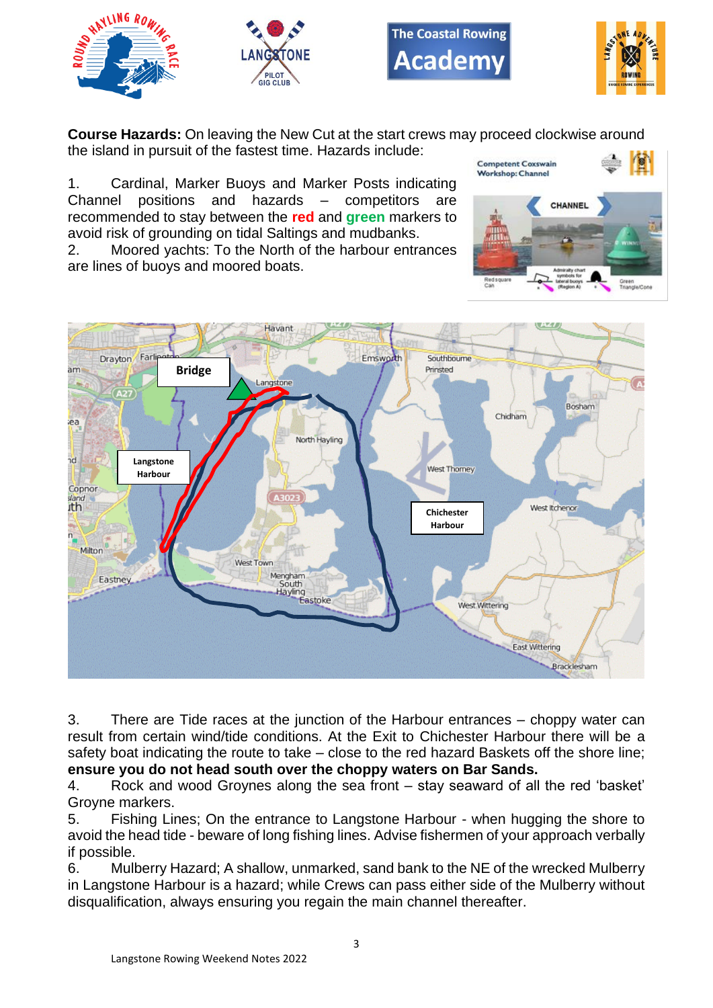







**Course Hazards:** On leaving the New Cut at the start crews may proceed clockwise around the island in pursuit of the fastest time. Hazards include: **Competent Coxswain** 

1. Cardinal, Marker Buoys and Marker Posts indicating Channel positions and hazards – competitors are recommended to stay between the **red** and **green** markers to avoid risk of grounding on tidal Saltings and mudbanks.

2. Moored yachts: To the North of the harbour entrances are lines of buoys and moored boats.



3. There are Tide races at the junction of the Harbour entrances – choppy water can result from certain wind/tide conditions. At the Exit to Chichester Harbour there will be a safety boat indicating the route to take – close to the red hazard Baskets off the shore line; **ensure you do not head south over the choppy waters on Bar Sands.**

4. Rock and wood Groynes along the sea front – stay seaward of all the red 'basket' Groyne markers.

5. Fishing Lines; On the entrance to Langstone Harbour - when hugging the shore to avoid the head tide - beware of long fishing lines. Advise fishermen of your approach verbally if possible.

6. Mulberry Hazard; A shallow, unmarked, sand bank to the NE of the wrecked Mulberry in Langstone Harbour is a hazard; while Crews can pass either side of the Mulberry without disqualification, always ensuring you regain the main channel thereafter.

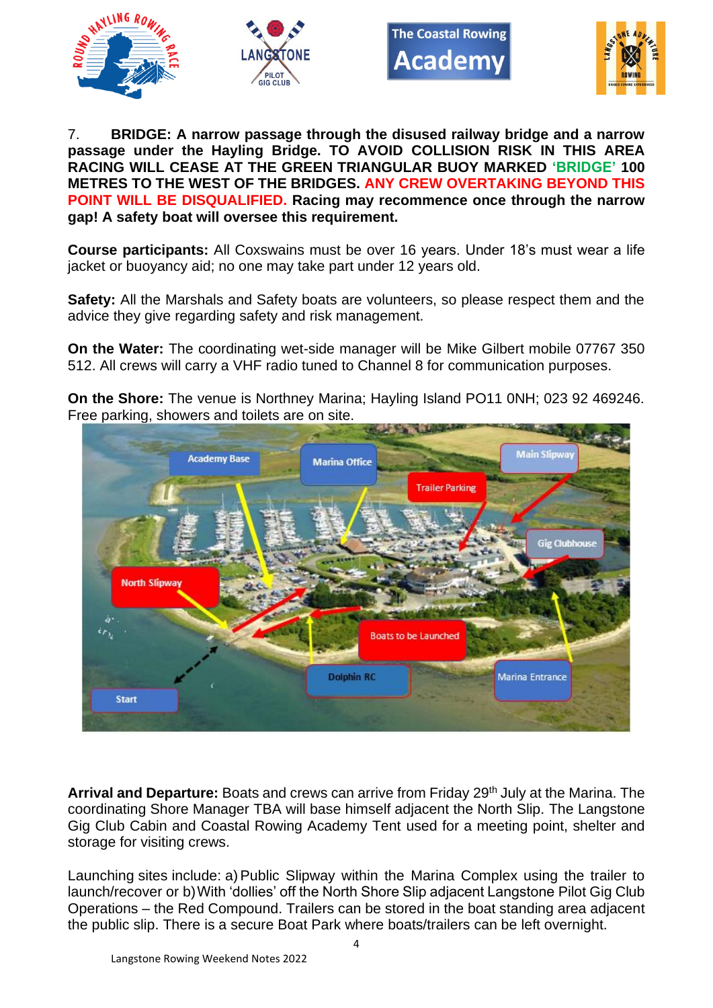





7. **BRIDGE: A narrow passage through the disused railway bridge and a narrow passage under the Hayling Bridge. TO AVOID COLLISION RISK IN THIS AREA RACING WILL CEASE AT THE GREEN TRIANGULAR BUOY MARKED 'BRIDGE' 100 METRES TO THE WEST OF THE BRIDGES. ANY CREW OVERTAKING BEYOND THIS POINT WILL BE DISQUALIFIED. Racing may recommence once through the narrow gap! A safety boat will oversee this requirement.**

**Course participants:** All Coxswains must be over 16 years. Under 18's must wear a life jacket or buoyancy aid; no one may take part under 12 years old.

**Safety:** All the Marshals and Safety boats are volunteers, so please respect them and the advice they give regarding safety and risk management.

**On the Water:** The coordinating wet-side manager will be Mike Gilbert mobile 07767 350 512. All crews will carry a VHF radio tuned to Channel 8 for communication purposes.

**On the Shore:** The venue is Northney Marina; Hayling Island PO11 0NH; 023 92 469246. Free parking, showers and toilets are on site.



Arrival and Departure: Boats and crews can arrive from Friday 29<sup>th</sup> July at the Marina. The coordinating Shore Manager TBA will base himself adjacent the North Slip. The Langstone Gig Club Cabin and Coastal Rowing Academy Tent used for a meeting point, shelter and storage for visiting crews.

Launching sites include: a) Public Slipway within the Marina Complex using the trailer to launch/recover or b)With 'dollies' off the North Shore Slip adjacent Langstone Pilot Gig Club Operations – the Red Compound. Trailers can be stored in the boat standing area adjacent the public slip. There is a secure Boat Park where boats/trailers can be left overnight.